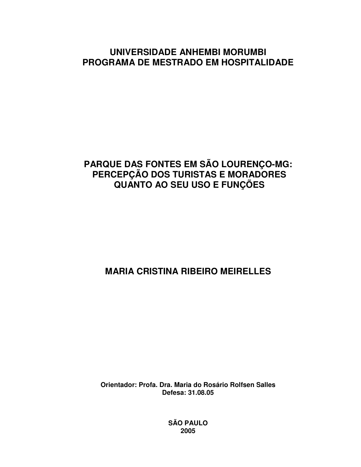### **UNIVERSIDADE ANHEMBI MORUMBI PROGRAMA DE MESTRADO EM HOSPITALIDADE**

## **PARQUE DAS FONTES EM SÃO LOURENÇO-MG: PERCEPÇÃO DOS TURISTAS E MORADORES QUANTO AO SEU USO E FUNÇÕES**

# **MARIA CRISTINA RIBEIRO MEIRELLES**

**Orientador: Profa. Dra. Maria do Rosário Rolfsen Salles Defesa: 31.08.05**

> **SÃO PAULO 2005**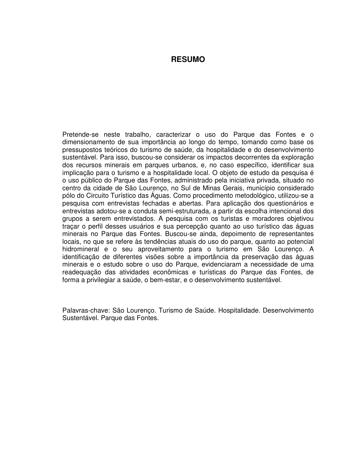#### **RESUMO**

Pretende-se neste trabalho, caracterizar o uso do Parque das Fontes e o dimensionamento de sua importância ao longo do tempo, tomando como base os pressupostos teóricos do turismo de saúde, da hospitalidade e do desenvolvimento sustentável. Para isso, buscou-se considerar os impactos decorrentes da exploração dos recursos minerais em parques urbanos, e, no caso específico, identificar sua implicação para o turismo e a hospitalidade local. O objeto de estudo da pesquisa é o uso público do Parque das Fontes, administrado pela iniciativa privada, situado no centro da cidade de São Lourenço, no Sul de Minas Gerais, município considerado pólo do Circuito Turístico das Águas. Como procedimento metodológico, utilizou-se a pesquisa com entrevistas fechadas e abertas. Para aplicação dos questionários e entrevistas adotou-se a conduta semi-estruturada, a partir da escolha intencional dos grupos a serem entrevistados. A pesquisa com os turistas e moradores objetivou traçar o perfil desses usuários e sua percepção quanto ao uso turístico das águas minerais no Parque das Fontes. Buscou-se ainda, depoimento de representantes locais, no que se refere às tendências atuais do uso do parque, quanto ao potencial hidromineral e o seu aproveitamento para o turismo em São Lourenço. A identificação de diferentes visões sobre a importância da preservação das águas minerais e o estudo sobre o uso do Parque, evidenciaram a necessidade de uma readequação das atividades econômicas e turísticas do Parque das Fontes, de forma a privilegiar a saúde, o bem-estar, e o desenvolvimento sustentável.

Palavras-chave: São Lourenço. Turismo de Saúde. Hospitalidade. Desenvolvimento Sustentável. Parque das Fontes.